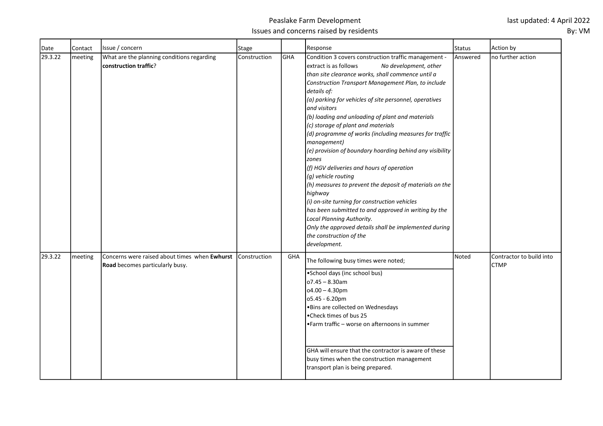| Date    | Contact | Issue / concern                                                                  | Stage        |     | Response                                                                                                                                                                                                                                                                                                                                                                                                                                                                                                                                                                                                                                                                                                                                                                                                                                                                                                                                                      | Status   | Action by                               |
|---------|---------|----------------------------------------------------------------------------------|--------------|-----|---------------------------------------------------------------------------------------------------------------------------------------------------------------------------------------------------------------------------------------------------------------------------------------------------------------------------------------------------------------------------------------------------------------------------------------------------------------------------------------------------------------------------------------------------------------------------------------------------------------------------------------------------------------------------------------------------------------------------------------------------------------------------------------------------------------------------------------------------------------------------------------------------------------------------------------------------------------|----------|-----------------------------------------|
| 29.3.22 | meeting | What are the planning conditions regarding<br>construction traffic?              | Construction | GHA | Condition 3 covers construction traffic management -<br>extract is as follows<br>No development, other<br>than site clearance works, shall commence until a<br>Construction Transport Management Plan, to include<br>details of:<br>$(a)$ parking for vehicles of site personnel, operatives<br>and visitors<br>(b) loading and unloading of plant and materials<br>(c) storage of plant and materials<br>$ $ (d) programme of works (including measures for traffic<br>management)<br>$\vert$ (e) provision of boundary hoarding behind any visibility<br><b>zones</b><br>(f) HGV deliveries and hours of operation<br>(g) vehicle routing<br>$(h)$ measures to prevent the deposit of materials on the<br>highway<br>(i) on-site turning for construction vehicles<br>has been submitted to and approved in writing by the<br>Local Planning Authority.<br>Only the approved details shall be implemented during<br>the construction of the<br>development. | Answered | no further action                       |
| 29.3.22 | meeting | Concerns were raised about times when Ewhurst<br>Road becomes particularly busy. | Construction | GHA | The following busy times were noted;<br>•School days (inc school bus)<br>o7.45 - 8.30am<br>$o4.00 - 4.30$ pm<br>05.45 - 6.20pm<br>. Bins are collected on Wednesdays<br>•Check times of bus 25<br>• Farm traffic – worse on afternoons in summer<br>GHA will ensure that the contractor is aware of these<br>busy times when the construction management<br>transport plan is being prepared.                                                                                                                                                                                                                                                                                                                                                                                                                                                                                                                                                                 | Noted    | Contractor to build into<br><b>CTMP</b> |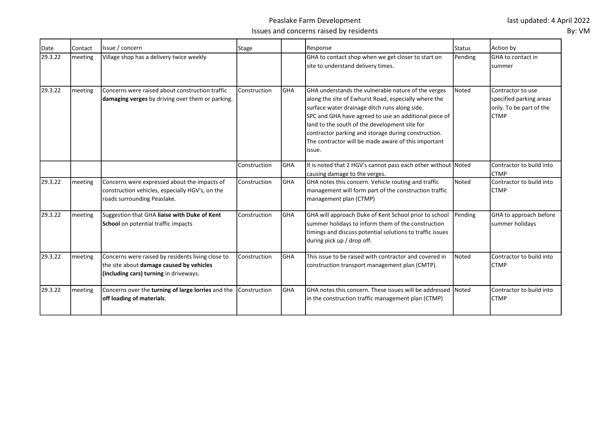## Peaslake Farm Development Issues and concerns raised by residents

| Date    | Contact | Issue / concern                                                                                                                         | <b>Stage</b> |            | Response                                                                                                                                                                                                                                                                                                                                                                                        | <b>Status</b> | Action by                                                                              |
|---------|---------|-----------------------------------------------------------------------------------------------------------------------------------------|--------------|------------|-------------------------------------------------------------------------------------------------------------------------------------------------------------------------------------------------------------------------------------------------------------------------------------------------------------------------------------------------------------------------------------------------|---------------|----------------------------------------------------------------------------------------|
| 29.3.22 | meeting | Village shop has a delivery twice weekly                                                                                                |              |            | GHA to contact shop when we get closer to start on<br>site to understand delivery times.                                                                                                                                                                                                                                                                                                        | Pending       | <b>GHA</b> to contact in<br>summer                                                     |
| 29.3.22 | meeting | Concerns were raised about construction traffic<br>damaging verges by driving over them or parking.                                     | Construction | <b>GHA</b> | GHA understands the vulnerable nature of the verges<br>along the site of Ewhurst Road, especially where the<br>surface water drainage ditch runs along side.<br>SPC and GHA have agreed to use an additional piece of<br>land to the south of the development site for<br>contractor parking and storage during construction.<br>The contractor will be made aware of this important<br>lissue. | Noted         | Contractor to use<br>specified parking areas<br>only. To be part of the<br><b>CTMP</b> |
|         |         |                                                                                                                                         | Construction | <b>GHA</b> | It is noted that 2 HGV's cannot pass each other without Noted<br>causing damage to the verges.                                                                                                                                                                                                                                                                                                  |               | Contractor to build into<br><b>CTMP</b>                                                |
| 29.3.22 | meeting | Concerns were expressed about the impacts of<br>construction vehicles, especially HGV's, on the<br>roads surrounding Peaslake.          | Construction | <b>GHA</b> | GHA notes this concern. Vehicle routing and traffic<br>management will form part of the construction traffic<br>management plan (CTMP)                                                                                                                                                                                                                                                          | Noted         | Contractor to build into<br><b>CTMP</b>                                                |
| 29.3.22 | meeting | Suggestion that GHA liaise with Duke of Kent<br>School on potential traffic impacts                                                     | Construction | <b>GHA</b> | GHA will approach Duke of Kent School prior to school<br>summer holidays to inform them of the construction<br>timings and discuss potential solutions to traffic issues<br>during pick up / drop off.                                                                                                                                                                                          | Pending       | GHA to approach before<br>summer holidays                                              |
| 29.3.22 | meeting | Concerns were raised by residents living close to<br>the site about damage caused by vehicles<br>(including cars) turning in driveways. | Construction | <b>GHA</b> | This issue to be raised with contractor and covered in<br>construction transport management plan (CMTP).                                                                                                                                                                                                                                                                                        | Noted         | Contractor to build into<br><b>CTMP</b>                                                |
| 29.3.22 | meeting | Concerns over the turning of large lorries and the<br>off loading of materials.                                                         | Construction | <b>GHA</b> | IGHA notes this concern. These issues will be addressed<br>in the construction traffic management plan (CTMP)                                                                                                                                                                                                                                                                                   | Noted         | Contractor to build into<br><b>CTMP</b>                                                |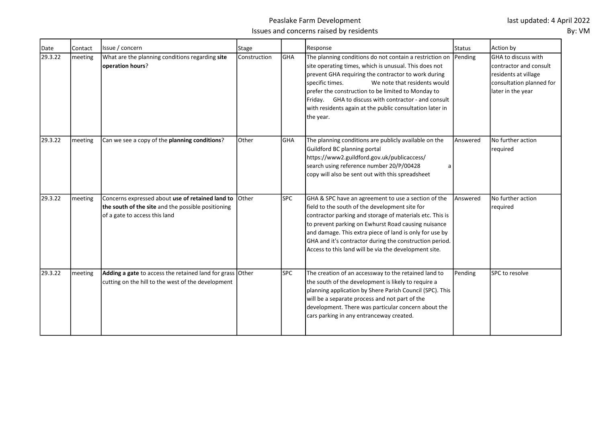| Date    | Contact | Issue / concern                                                                                                                         | <b>Stage</b> |            | Response                                                                                                                                                                                                                                                                                                                                                                                                                  | Status   | Action by                                                                                                                       |
|---------|---------|-----------------------------------------------------------------------------------------------------------------------------------------|--------------|------------|---------------------------------------------------------------------------------------------------------------------------------------------------------------------------------------------------------------------------------------------------------------------------------------------------------------------------------------------------------------------------------------------------------------------------|----------|---------------------------------------------------------------------------------------------------------------------------------|
| 29.3.22 | meeting | What are the planning conditions regarding site<br>operation hours?                                                                     | Construction | GHA        | The planning conditions do not contain a restriction on Pending<br>site operating times, which is unusual. This does not<br>prevent GHA requiring the contractor to work during<br>specific times.<br>We note that residents would<br>prefer the construction to be limited to Monday to<br>Friday. GHA to discuss with contractor - and consult<br>with residents again at the public consultation later in<br>the year. |          | <b>IGHA to discuss with</b><br>Icontractor and consult<br>residents at village<br>consultation planned for<br>later in the year |
| 29.3.22 | meeting | Can we see a copy of the planning conditions?                                                                                           | Other        | GHA        | The planning conditions are publicly available on the<br>Guildford BC planning portal<br>https://www2.guildford.gov.uk/publicaccess/<br>search using reference number 20/P/00428<br>a<br>copy will also be sent out with this spreadsheet                                                                                                                                                                                 | Answered | No further action<br>required                                                                                                   |
| 29.3.22 | meeting | Concerns expressed about use of retained land to<br>the south of the site and the possible positioning<br>of a gate to access this land | Other        | <b>SPC</b> | GHA & SPC have an agreement to use a section of the<br>field to the south of the development site for<br>contractor parking and storage of materials etc. This is<br>to prevent parking on Ewhurst Road causing nuisance<br>and damage. This extra piece of land is only for use by<br>GHA and it's contractor during the construction period.<br>Access to this land will be via the development site.                   | Answered | No further action<br>required                                                                                                   |
| 29.3.22 | meeting | Adding a gate to access the retained land for grass Other<br>cutting on the hill to the west of the development                         |              | <b>SPC</b> | The creation of an accessway to the retained land to<br>the south of the development is likely to require a<br>planning application by Shere Parish Council (SPC). This<br>will be a separate process and not part of the<br>development. There was particular concern about the<br>cars parking in any entranceway created.                                                                                              | Pending  | SPC to resolve                                                                                                                  |